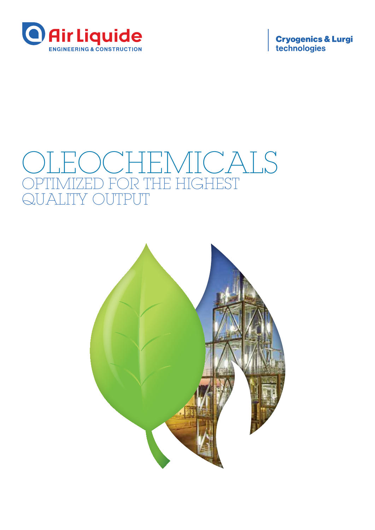

**Cryogenics & Lurgi**<br>technologies

# **TEMICALS** TIMIZED FOR THE HIGHEST<br>ALITY OUTPUT **ITY OUTPUT**

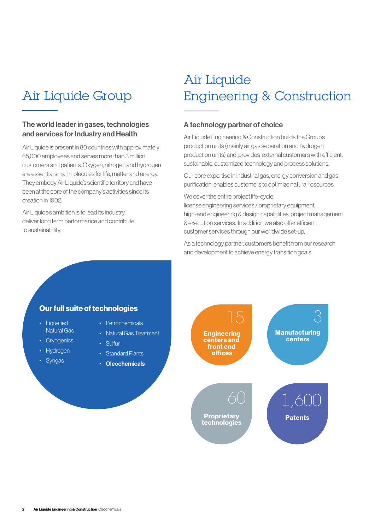## Air Liquide Group

### The world leader in gases, technologies and services for Industry and Health

Air Liquide is present in 80 countries with approximately 65,000 employees and serves more than 3 million customers and patients. Oxygen, nitrogen and hydrogen are essential small molecules for life, matter and energy. They embody Air Liquide's scientific territory and have been at the core of the company's activities since its creation in 1902.

Air Liquide's ambition is to lead its industry, deliver long term performance and contribute to sustainability.

## Air Liquide Engineering & Construction

#### A technology partner of choice

Air Liquide Engineering & Construction builds the Group's production units (mainly air gas separation and hydrogen production units) and provides external customers with efficient, sustainable, customized technology and process solutions.

Our core expertise in industrial gas, energy conversion and gas purification, enables customers to optimize natural resources.

We cover the entire project life-cycle:

license engineering services / proprietary equipment, high-end engineering & design capabilities, project management & execution services. In addition we also offer efficient customer services through our worldwide set-up.

As a technology partner, customers benefit from our research and development to achieve energy transition goals.

### Our full suite of technologies

- Liquefied Natural Gas
- Cryogenics
- Hydrogen
- Syngas
- Petrochemicals
- Natural Gas Treatment
- Sulfur
	- Standard Plants
	- Oleochemicals

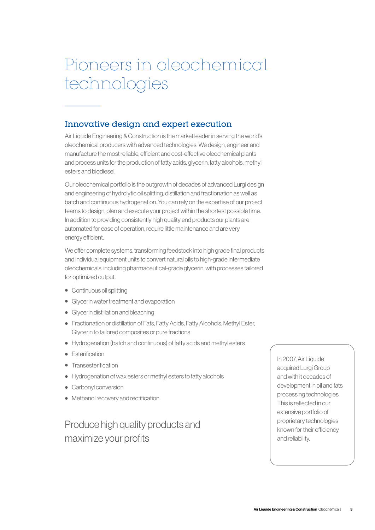# Pioneers in oleochemical technologies

## Innovative design and expert execution

Air Liquide Engineering & Construction is the market leader in serving the world's oleochemical producers with advanced technologies. We design, engineer and manufacture the most reliable, efficient and cost-effective oleochemical plants and process units for the production of fatty acids, glycerin, fatty alcohols, methyl esters and biodiesel.

Our oleochemical portfolio is the outgrowth of decades of advanced Lurgi design and engineering of hydrolytic oil splitting, distillation and fractionation as well as batch and continuous hydrogenation. You can rely on the expertise of our project teams to design, plan and execute your project within the shortest possible time. In addition to providing consistently high quality end products our plants are automated for ease of operation, require little maintenance and are very energy efficient.

We offer complete systems, transforming feedstock into high grade final products and individual equipment units to convert natural oils to high-grade intermediate oleochemicals, including pharmaceutical-grade glycerin, with processes tailored for optimized output:

- Continuous oil splitting
- Glycerin water treatment and evaporation
- Glycerin distillation and bleaching
- Fractionation or distillation of Fats, Fatty Acids, Fatty Alcohols, Methyl Ester, Glycerin to tailored composites or pure fractions
- Hydrogenation (batch and continuous) of fatty acids and methyl esters
- Esterification
- Transesterification
- Hydrogenation of wax esters or methyl esters to fatty alcohols
- Carbonyl conversion
- Methanol recovery and rectification

Produce high quality products and maximize your profits

In 2007, Air Liquide acquired Lurgi Group and with it decades of development in oil and fats processing technologies. This is reflected in our extensive portfolio of proprietary technologies known for their efficiency and reliability.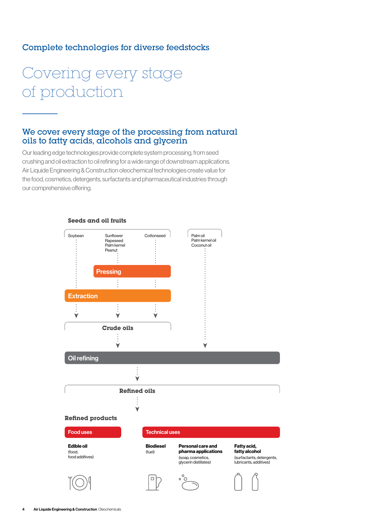### Complete technologies for diverse feedstocks

# Covering every stage of production

### We cover every stage of the processing from natural oils to fatty acids, alcohols and glycerin

Our leading edge technologies provide complete system processing, from seed crushing and oil extraction to oil refining for a wide range of downstream applications. Air Liquide Engineering & Construction oleochemical technologies create value for the food, cosmetics, detergents, surfactants and pharmaceutical industries through our comprehensive offering.

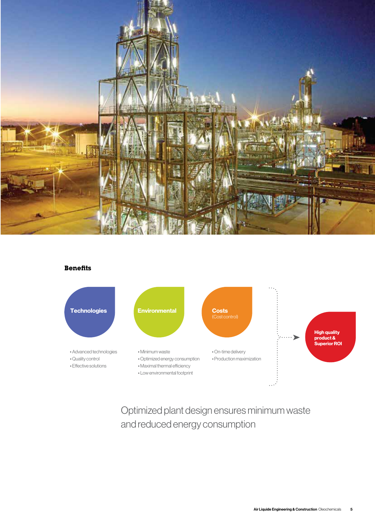

#### **Benefits**



Optimized plant design ensures minimum waste and reduced energy consumption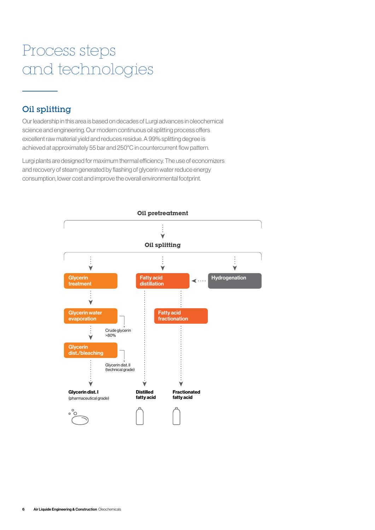# Process steps and technologies

## Oil splitting

Our leadership in this area is based on decades of Lurgi advances in oleochemical science and engineering. Our modern continuous oil splitting process offers excellent raw material yield and reduces residue. A 99% splitting degree is achieved at approximately 55 bar and 250°C in countercurrent flow pattern.

Lurgi plants are designed for maximum thermal efficiency. The use of economizers and recovery of steam generated by flashing of glycerin water reduce energy consumption, lower cost and improve the overall environmental footprint.

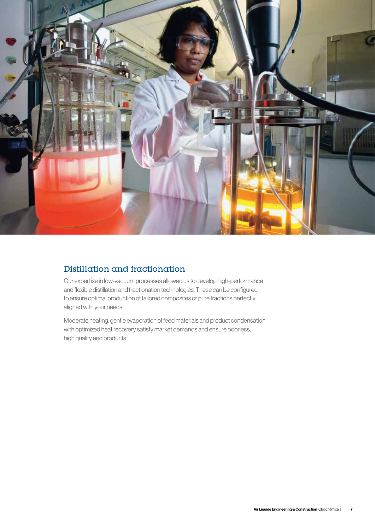

## Distillation and fractionation

Our expertise in low-vacuum processes allowed us to develop high-performance and flexible distillation and fractionation technologies. These can be configured to ensure optimal production of tailored composites or pure fractions perfectly aligned with your needs.

Moderate heating, gentle evaporation of feed materials and product condensation with optimized heat recovery satisfy market demands and ensure odorless, high quality end products.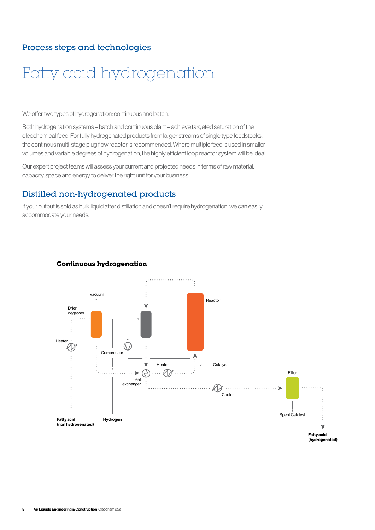## Process steps and technologies



We offer two types of hydrogenation: continuous and batch.

Both hydrogenation systems – batch and continuous plant – achieve targeted saturation of the oleochemical feed. For fully hydrogenated products from larger streams of single type feedstocks, the continous multi-stage plug flow reactor is recommended. Where multiple feed is used in smaller volumes and variable degrees of hydrogenation, the highly efficient loop reactor system will be ideal.

Our expert project teams will assess your current and projected needs in terms of raw material, capacity, space and energy to deliver the right unit for your business.

### Distilled non-hydrogenated products

If your output is sold as bulk liquid after distillation and doesn't require hydrogenation, we can easily accommodate your needs. **Continuous hydrogenation**



#### **Continuous hydrogenation**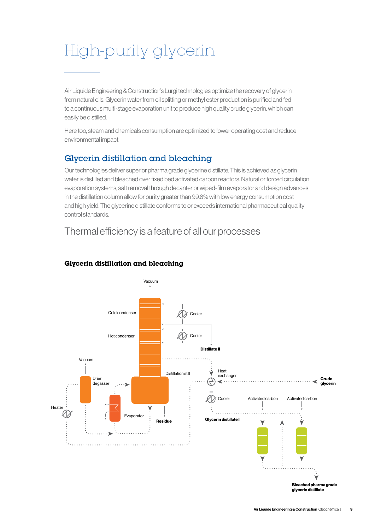# High-purity glycerin

Air Liquide Engineering & Construction's Lurgi technologies optimize the recovery of glycerin from natural oils. Glycerin water from oil splitting or methyl ester production is purified and fed to a continuous multi-stage evaporation unit to produce high quality crude glycerin, which can easily be distilled.

Here too, steam and chemicals consumption are optimized to lower operating cost and reduce environmental impact.

## Glycerin distillation and bleaching

Our technologies deliver superior pharma grade glycerine distillate. This is achieved as glycerin water is distilled and bleached over fixed bed activated carbon reactors. Natural or forced circulation evaporation systems, salt removal through decanter or wiped-film evaporator and design advances in the distillation column allow for purity greater than 99.8% with low energy consumption cost and high yield. The glycerine distillate conforms to or exceeds international pharmaceutical quality control standards.

## Thermal efficiency is a feature of all our processes



### **Glycerin distillation and bleaching**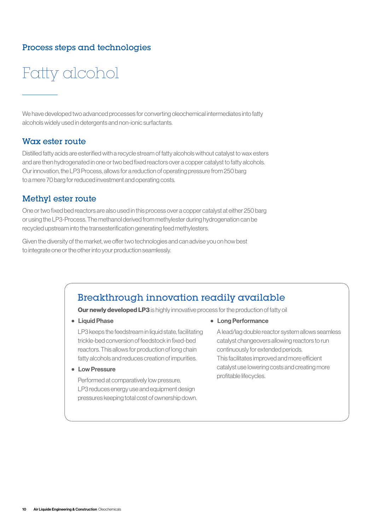## Process steps and technologies

# Fatty alcohol

We have developed two advanced processes for converting oleochemical intermediates into fatty alcohols widely used in detergents and non-ionic surfactants.

### Wax ester route

Distilled fatty acids are esterified with a recycle stream of fatty alcohols without catalyst to wax esters and are then hydrogenated in one or two bed fixed reactors over a copper catalyst to fatty alcohols. Our innovation, the LP3 Process, allows for a reduction of operating pressure from 250 barg to a mere 70 barg for reduced investment and operating costs.

### Methyl ester route

One or two fixed bed reactors are also used in this process over a copper catalyst at either 250 barg or using the LP3-Process. The methanol derived from methylester during hydrogenation can be recycled upstream into the transesterification generating feed methylesters.

Given the diversity of the market, we offer two technologies and can advise you on how best to integrate one or the other into your production seamlessly.

## Breakthrough innovation readily available

**Our newly developed LP3** is highly innovative process for the production of fatty oil

• Liquid Phase

LP3 keeps the feedstream in liquid state, facilitating trickle-bed conversion of feedstock in fixed-bed reactors. This allows for production of long chain fatty alcohols and reduces creation of impurities.

• Low Pressure

Performed at comparatively low pressure, LP3 reduces energy use and equipment design pressures keeping total cost of ownership down. • Long Performance

A lead/lag double reactor system allows seamless catalyst changeovers allowing reactors to run continuously for extended periods. This facilitates improved and more efficient catalyst use lowering costs and creating more profitable lifecycles.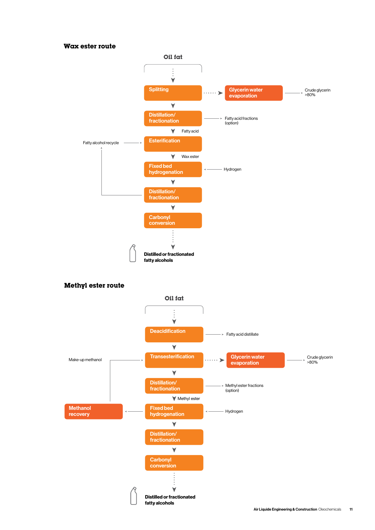#### **Wax ester route**





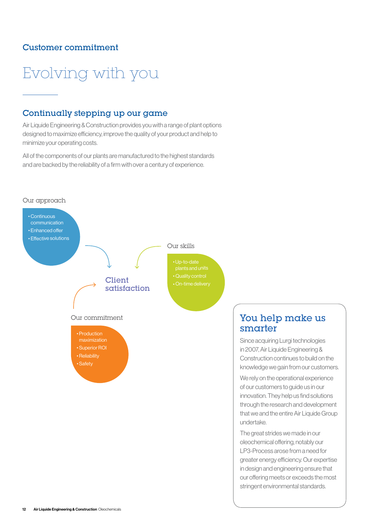### Customer commitment

Evolving with you



 maximization • Superior ROI • Reliability • Safety

## You help make us smarter

Since acquiring Lurgi technologies in 2007, Air Liquide Engineering & Construction continues to build on the knowledge we gain from our customers.

We rely on the operational experience of our customers to guide us in our innovation. They help us find solutions through the research and development that we and the entire Air Liquide Group undertake.

The great strides we made in our oleochemical offering, notably our LP3-Process arose from a need for greater energy efficiency. Our expertise in design and engineering ensure that our offering meets or exceeds the most stringent environmental standards.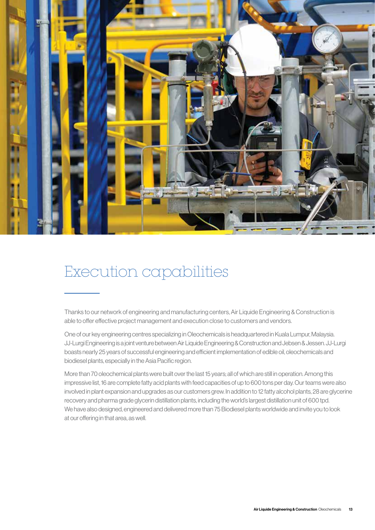

## Execution capabilities

Thanks to our network of engineering and manufacturing centers, Air Liquide Engineering & Construction is able to offer effective project management and execution close to customers and vendors.

One of our key engineering centres specializing in Oleochemicals is headquartered in Kuala Lumpur, Malaysia. JJ-Lurgi Engineering is a joint venture between Air Liquide Engineering & Construction and Jebsen & Jessen. JJ-Lurgi boasts nearly 25 years of successful engineering and efficient implementation of edible oil, oleochemicals and biodiesel plants, especially in the Asia Pacific region.

More than 70 oleochemical plants were built over the last 15 years; all of which are still in operation. Among this impressive list, 16 are complete fatty acid plants with feed capacities of up to 600 tons per day. Our teams were also involved in plant expansion and upgrades as our customers grew. In addition to 12 fatty alcohol plants, 28 are glycerine recovery and pharma grade glycerin distillation plants, including the world's largest distillation unit of 600 tpd. We have also designed, engineered and delivered more than 75 Biodiesel plants worldwide and invite you to look at our offering in that area, as well.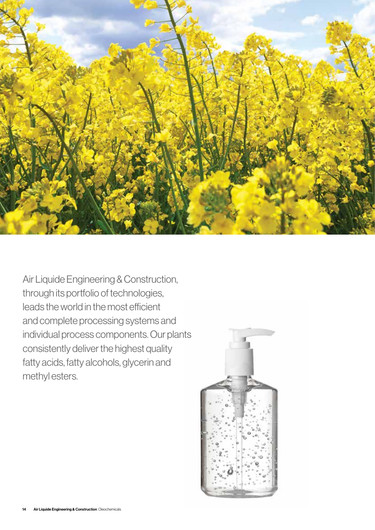

Air Liquide Engineering & Construction, through its portfolio of technologies, leads the world in the most efficient and complete processing systems and individual process components. Our plants consistently deliver the highest quality fatty acids, fatty alcohols, glycerin and methyl esters.